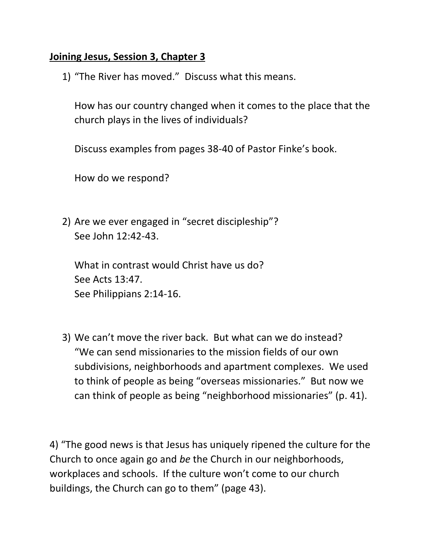## **Joining Jesus, Session 3, Chapter 3**

1) "The River has moved." Discuss what this means.

How has our country changed when it comes to the place that the church plays in the lives of individuals?

Discuss examples from pages 38-40 of Pastor Finke's book.

How do we respond?

2) Are we ever engaged in "secret discipleship"? See John 12:42-43.

What in contrast would Christ have us do? See Acts 13:47. See Philippians 2:14-16.

3) We can't move the river back. But what can we do instead? "We can send missionaries to the mission fields of our own subdivisions, neighborhoods and apartment complexes. We used to think of people as being "overseas missionaries." But now we can think of people as being "neighborhood missionaries" (p. 41).

4) "The good news is that Jesus has uniquely ripened the culture for the Church to once again go and *be* the Church in our neighborhoods, workplaces and schools. If the culture won't come to our church buildings, the Church can go to them" (page 43).